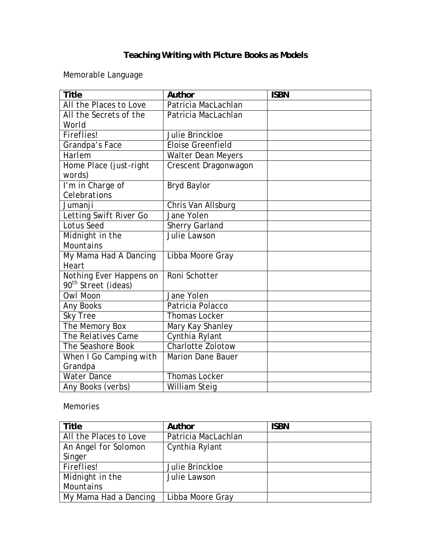## **Teaching Writing with Picture Books as Models**

Memorable Language

| <b>Title</b>                     | Author                    | <b>ISBN</b> |
|----------------------------------|---------------------------|-------------|
| All the Places to Love           | Patricia MacLachlan       |             |
| All the Secrets of the           | Patricia MacLachlan       |             |
| World                            |                           |             |
| <b>Fireflies!</b>                | Julie Brinckloe           |             |
| Grandpa's Face                   | <b>Eloise Greenfield</b>  |             |
| Harlem                           | <b>Walter Dean Meyers</b> |             |
| Home Place (just-right<br>words) | Crescent Dragonwagon      |             |
| I'm in Charge of                 | <b>Bryd Baylor</b>        |             |
| Celebrations                     |                           |             |
| Jumanji                          | Chris Van Allsburg        |             |
| Letting Swift River Go           | Jane Yolen                |             |
| <b>Lotus Seed</b>                | <b>Sherry Garland</b>     |             |
| Midnight in the                  | Julie Lawson              |             |
| <b>Mountains</b>                 |                           |             |
| My Mama Had A Dancing            | Libba Moore Gray          |             |
| Heart                            |                           |             |
| Nothing Ever Happens on          | Roni Schotter             |             |
| 90 <sup>th</sup> Street (ideas)  |                           |             |
| Owl Moon                         | Jane Yolen                |             |
| <b>Any Books</b>                 | Patricia Polacco          |             |
| <b>Sky Tree</b>                  | <b>Thomas Locker</b>      |             |
| The Memory Box                   | Mary Kay Shanley          |             |
| The Relatives Came               | Cynthia Rylant            |             |
| The Seashore Book                | <b>Charlotte Zolotow</b>  |             |
| When I Go Camping with           | <b>Marion Dane Bauer</b>  |             |
| Grandpa                          |                           |             |
| <b>Water Dance</b>               | <b>Thomas Locker</b>      |             |
| Any Books (verbs)                | William Steig             |             |

#### Memories

| Title                  | Author              | <b>ISBN</b> |
|------------------------|---------------------|-------------|
| All the Places to Love | Patricia MacLachlan |             |
| An Angel for Solomon   | Cynthia Rylant      |             |
| Singer                 |                     |             |
| <b>Fireflies!</b>      | Julie Brinckloe     |             |
| Midnight in the        | Julie Lawson        |             |
| Mountains              |                     |             |
| My Mama Had a Dancing  | Libba Moore Gray    |             |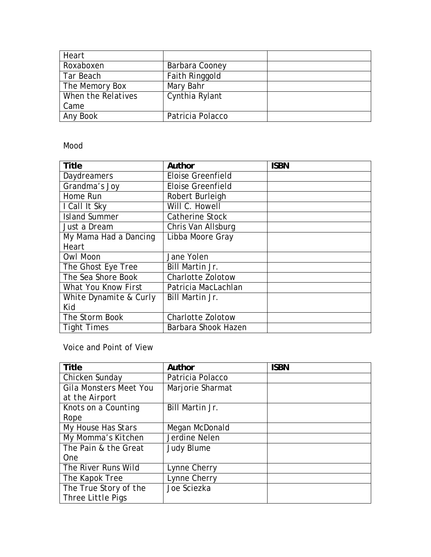| Heart              |                  |  |
|--------------------|------------------|--|
| Roxaboxen          | Barbara Cooney   |  |
| Tar Beach          | Faith Ringgold   |  |
| The Memory Box     | Mary Bahr        |  |
| When the Relatives | Cynthia Rylant   |  |
| Came               |                  |  |
| Any Book           | Patricia Polacco |  |

#### Mood

| <b>Title</b>           | Author                   | <b>ISBN</b> |
|------------------------|--------------------------|-------------|
| <b>Daydreamers</b>     | <b>Eloise Greenfield</b> |             |
| Grandma's Joy          | <b>Eloise Greenfield</b> |             |
| Home Run               | Robert Burleigh          |             |
| I Call It Sky          | Will C. Howell           |             |
| <b>Island Summer</b>   | <b>Catherine Stock</b>   |             |
| Just a Dream           | Chris Van Allsburg       |             |
| My Mama Had a Dancing  | Libba Moore Gray         |             |
| Heart                  |                          |             |
| Owl Moon               | Jane Yolen               |             |
| The Ghost Eye Tree     | Bill Martin Jr.          |             |
| The Sea Shore Book     | <b>Charlotte Zolotow</b> |             |
| What You Know First    | Patricia MacLachlan      |             |
| White Dynamite & Curly | Bill Martin Jr.          |             |
| Kid                    |                          |             |
| The Storm Book         | <b>Charlotte Zolotow</b> |             |
| <b>Tight Times</b>     | Barbara Shook Hazen      |             |

#### Voice and Point of View

| <b>Title</b>           | Author            | <b>ISBN</b> |
|------------------------|-------------------|-------------|
| Chicken Sunday         | Patricia Polacco  |             |
| Gila Monsters Meet You | Marjorie Sharmat  |             |
| at the Airport         |                   |             |
| Knots on a Counting    | Bill Martin Jr.   |             |
| Rope                   |                   |             |
| My House Has Stars     | Megan McDonald    |             |
| My Momma's Kitchen     | Jerdine Nelen     |             |
| The Pain & the Great   | <b>Judy Blume</b> |             |
| <b>One</b>             |                   |             |
| The River Runs Wild    | Lynne Cherry      |             |
| The Kapok Tree         | Lynne Cherry      |             |
| The True Story of the  | Joe Sciezka       |             |
| Three Little Pigs      |                   |             |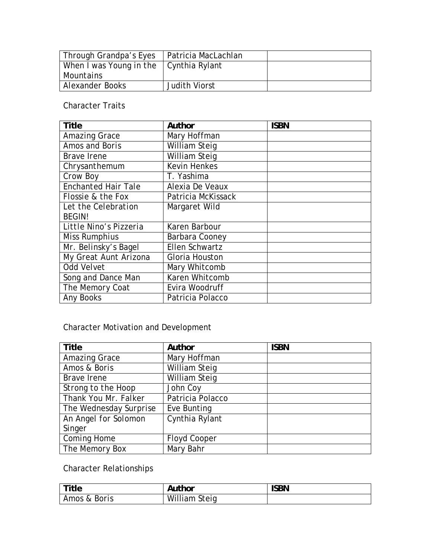| <i>Through Grandpa's Eyes</i>   Patricia MacLachlan |                      |  |
|-----------------------------------------------------|----------------------|--|
| When I was Young in the $\vert$ Cynthia Rylant      |                      |  |
| Mountains                                           |                      |  |
| Alexander Books                                     | <b>Judith Viorst</b> |  |

Character Traits

| <b>Title</b>               | Author               | <b>ISBN</b> |
|----------------------------|----------------------|-------------|
| Amazing Grace              | Mary Hoffman         |             |
| Amos and Boris             | <b>William Steig</b> |             |
| <b>Brave</b> Irene         | <b>William Steig</b> |             |
| Chrysanthemum              | <b>Kevin Henkes</b>  |             |
| Crow Boy                   | T. Yashima           |             |
| <b>Enchanted Hair Tale</b> | Alexia De Veaux      |             |
| Flossie & the Fox          | Patricia McKissack   |             |
| Let the Celebration        | Margaret Wild        |             |
| <b>BEGIN!</b>              |                      |             |
| Little Nino's Pizzeria     | Karen Barbour        |             |
| <b>Miss Rumphius</b>       | Barbara Cooney       |             |
| Mr. Belinsky's Bagel       | Ellen Schwartz       |             |
| My Great Aunt Arizona      | Gloria Houston       |             |
| Odd Velvet                 | Mary Whitcomb        |             |
| Song and Dance Man         | Karen Whitcomb       |             |
| The Memory Coat            | Evira Woodruff       |             |
| <b>Any Books</b>           | Patricia Polacco     |             |

## Character Motivation and Development

| <b>Title</b>           | Author              | <b>ISBN</b> |
|------------------------|---------------------|-------------|
| <b>Amazing Grace</b>   | Mary Hoffman        |             |
| Amos & Boris           | William Steig       |             |
| Brave Irene            | William Steig       |             |
| Strong to the Hoop     | John Coy            |             |
| Thank You Mr. Falker   | Patricia Polacco    |             |
| The Wednesday Surprise | Eve Bunting         |             |
| An Angel for Solomon   | Cynthia Rylant      |             |
| Singer                 |                     |             |
| Coming Home            | <b>Floyd Cooper</b> |             |
| The Memory Box         | Mary Bahr           |             |

## Character Relationships

| Title        | Author               | <b>ISBN</b> |
|--------------|----------------------|-------------|
| Amos & Boris | <b>William Steig</b> |             |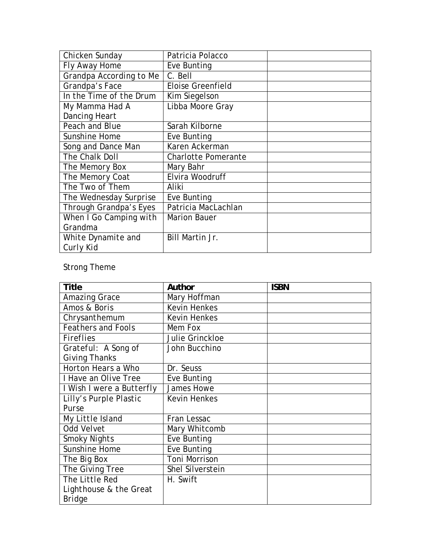| Chicken Sunday          | Patricia Polacco           |  |
|-------------------------|----------------------------|--|
| Fly Away Home           | Eve Bunting                |  |
| Grandpa According to Me | C. Bell                    |  |
| Grandpa's Face          | <b>Eloise Greenfield</b>   |  |
| In the Time of the Drum | Kim Siegelson              |  |
| My Mamma Had A          | Libba Moore Gray           |  |
| <b>Dancing Heart</b>    |                            |  |
| Peach and Blue          | Sarah Kilborne             |  |
| Sunshine Home           | Eve Bunting                |  |
| Song and Dance Man      | Karen Ackerman             |  |
| The Chalk Doll          | <b>Charlotte Pomerante</b> |  |
| The Memory Box          | Mary Bahr                  |  |
| The Memory Coat         | Elvira Woodruff            |  |
| The Two of Them         | Aliki                      |  |
| The Wednesday Surprise  | Eve Bunting                |  |
| Through Grandpa's Eyes  | Patricia MacLachlan        |  |
| When I Go Camping with  | <b>Marion Bauer</b>        |  |
| Grandma                 |                            |  |
| White Dynamite and      | Bill Martin Jr.            |  |
| Curly Kid               |                            |  |

## Strong Theme

| <b>Title</b>              | Author              | <b>ISBN</b> |
|---------------------------|---------------------|-------------|
| <b>Amazing Grace</b>      | Mary Hoffman        |             |
| Amos & Boris              | <b>Kevin Henkes</b> |             |
| Chrysanthemum             | <b>Kevin Henkes</b> |             |
| <b>Feathers and Fools</b> | Mem Fox             |             |
| <b>Fireflies</b>          | Julie Grinckloe     |             |
| Grateful: A Song of       | John Bucchino       |             |
| Giving Thanks             |                     |             |
| Horton Hears a Who        | Dr. Seuss           |             |
| I Have an Olive Tree      | Eve Bunting         |             |
| I Wish I were a Butterfly | James Howe          |             |
| Lilly's Purple Plastic    | <b>Kevin Henkes</b> |             |
| Purse                     |                     |             |
| My Little Island          | Fran Lessac         |             |
| Odd Velvet                | Mary Whitcomb       |             |
| <b>Smoky Nights</b>       | Eve Bunting         |             |
| Sunshine Home             | Eve Bunting         |             |
| The Big Box               | Toni Morrison       |             |
| The Giving Tree           | Shel Silverstein    |             |
| The Little Red            | H. Swift            |             |
| Lighthouse & the Great    |                     |             |
| <b>Bridge</b>             |                     |             |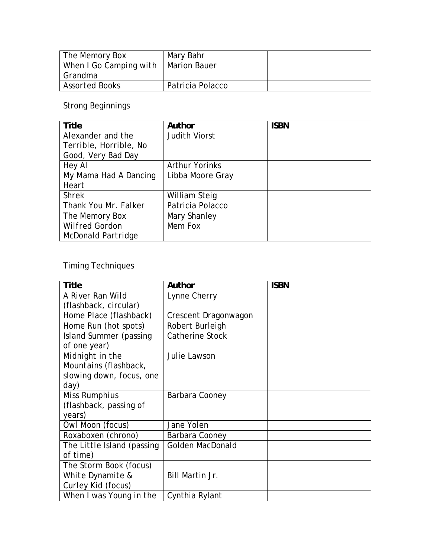| The Memory Box         | Mary Bahr           |  |
|------------------------|---------------------|--|
| When I Go Camping with | <b>Marion Bauer</b> |  |
| Grandma                |                     |  |
| <b>Assorted Books</b>  | Patricia Polacco    |  |

Strong Beginnings

| <b>Title</b>           | Author                | <b>ISBN</b> |
|------------------------|-----------------------|-------------|
| Alexander and the      | <b>Judith Viorst</b>  |             |
| Terrible, Horrible, No |                       |             |
| Good, Very Bad Day     |                       |             |
| Hey Al                 | <b>Arthur Yorinks</b> |             |
| My Mama Had A Dancing  | Libba Moore Gray      |             |
| Heart                  |                       |             |
| <b>Shrek</b>           | William Steig         |             |
| Thank You Mr. Falker   | Patricia Polacco      |             |
| The Memory Box         | Mary Shanley          |             |
| <b>Wilfred Gordon</b>  | Mem Fox               |             |
| McDonald Partridge     |                       |             |

# Timing Techniques

| <b>Title</b>               | Author                  | <b>ISBN</b> |
|----------------------------|-------------------------|-------------|
| A River Ran Wild           | Lynne Cherry            |             |
| (flashback, circular)      |                         |             |
| Home Place (flashback)     | Crescent Dragonwagon    |             |
| Home Run (hot spots)       | Robert Burleigh         |             |
| Island Summer (passing     | Catherine Stock         |             |
| of one year)               |                         |             |
| Midnight in the            | Julie Lawson            |             |
| Mountains (flashback,      |                         |             |
| slowing down, focus, one   |                         |             |
| day)                       |                         |             |
| <b>Miss Rumphius</b>       | Barbara Cooney          |             |
| (flashback, passing of     |                         |             |
| years)                     |                         |             |
| Owl Moon (focus)           | Jane Yolen              |             |
| Roxaboxen (chrono)         | Barbara Cooney          |             |
| The Little Island (passing | <b>Golden MacDonald</b> |             |
| of time)                   |                         |             |
| The Storm Book (focus)     |                         |             |
| White Dynamite &           | <b>Bill Martin Jr.</b>  |             |
| Curley Kid (focus)         |                         |             |
| When I was Young in the    | Cynthia Rylant          |             |